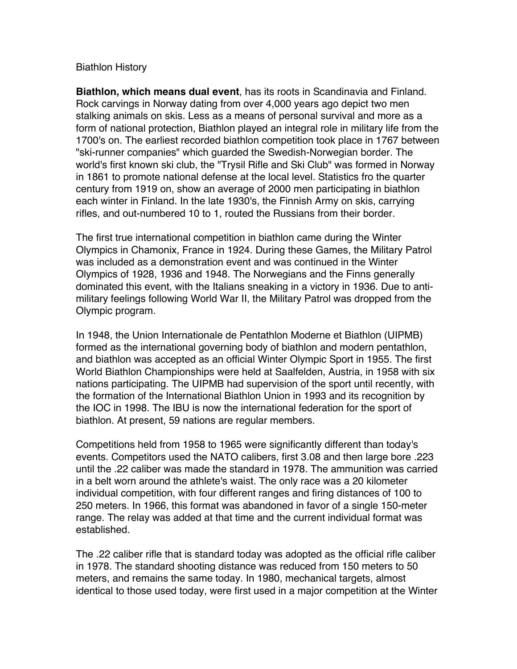## Biathlon History

**Biathlon, which means dual event**, has its roots in Scandinavia and Finland. Rock carvings in Norway dating from over 4,000 years ago depict two men stalking animals on skis. Less as a means of personal survival and more as a form of national protection, Biathlon played an integral role in military life from the 1700's on. The earliest recorded biathlon competition took place in 1767 between "ski-runner companies" which guarded the Swedish-Norwegian border. The world's first known ski club, the "Trysil Rifle and Ski Club" was formed in Norway in 1861 to promote national defense at the local level. Statistics fro the quarter century from 1919 on, show an average of 2000 men participating in biathlon each winter in Finland. In the late 1930's, the Finnish Army on skis, carrying rifles, and out-numbered 10 to 1, routed the Russians from their border.

The first true international competition in biathlon came during the Winter Olympics in Chamonix, France in 1924. During these Games, the Military Patrol was included as a demonstration event and was continued in the Winter Olympics of 1928, 1936 and 1948. The Norwegians and the Finns generally dominated this event, with the Italians sneaking in a victory in 1936. Due to antimilitary feelings following World War II, the Military Patrol was dropped from the Olympic program.

In 1948, the Union Internationale de Pentathlon Moderne et Biathlon (UIPMB) formed as the international governing body of biathlon and modern pentathlon, and biathlon was accepted as an official Winter Olympic Sport in 1955. The first World Biathlon Championships were held at Saalfelden, Austria, in 1958 with six nations participating. The UIPMB had supervision of the sport until recently, with the formation of the International Biathlon Union in 1993 and its recognition by the IOC in 1998. The IBU is now the international federation for the sport of biathlon. At present, 59 nations are regular members.

Competitions held from 1958 to 1965 were significantly different than today's events. Competitors used the NATO calibers, first 3.08 and then large bore .223 until the .22 caliber was made the standard in 1978. The ammunition was carried in a belt worn around the athlete's waist. The only race was a 20 kilometer individual competition, with four different ranges and firing distances of 100 to 250 meters. In 1966, this format was abandoned in favor of a single 150-meter range. The relay was added at that time and the current individual format was established.

The .22 caliber rifle that is standard today was adopted as the official rifle caliber in 1978. The standard shooting distance was reduced from 150 meters to 50 meters, and remains the same today. In 1980, mechanical targets, almost identical to those used today, were first used in a major competition at the Winter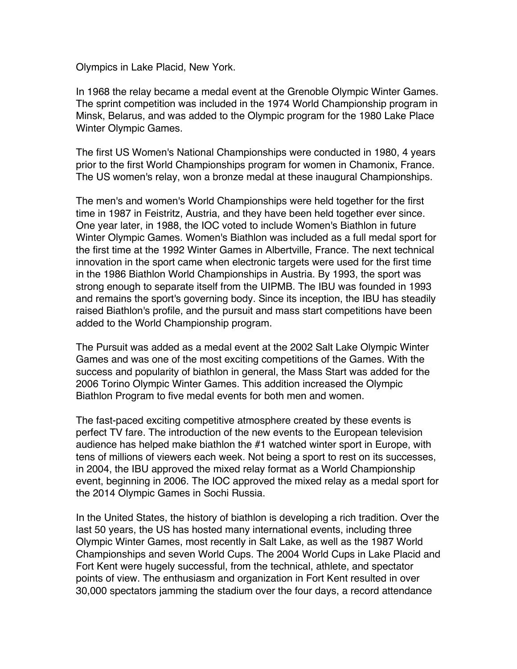Olympics in Lake Placid, New York.

In 1968 the relay became a medal event at the Grenoble Olympic Winter Games. The sprint competition was included in the 1974 World Championship program in Minsk, Belarus, and was added to the Olympic program for the 1980 Lake Place Winter Olympic Games.

The first US Women's National Championships were conducted in 1980, 4 years prior to the first World Championships program for women in Chamonix, France. The US women's relay, won a bronze medal at these inaugural Championships.

The men's and women's World Championships were held together for the first time in 1987 in Feistritz, Austria, and they have been held together ever since. One year later, in 1988, the IOC voted to include Women's Biathlon in future Winter Olympic Games. Women's Biathlon was included as a full medal sport for the first time at the 1992 Winter Games in Albertville, France. The next technical innovation in the sport came when electronic targets were used for the first time in the 1986 Biathlon World Championships in Austria. By 1993, the sport was strong enough to separate itself from the UIPMB. The IBU was founded in 1993 and remains the sport's governing body. Since its inception, the IBU has steadily raised Biathlon's profile, and the pursuit and mass start competitions have been added to the World Championship program.

The Pursuit was added as a medal event at the 2002 Salt Lake Olympic Winter Games and was one of the most exciting competitions of the Games. With the success and popularity of biathlon in general, the Mass Start was added for the 2006 Torino Olympic Winter Games. This addition increased the Olympic Biathlon Program to five medal events for both men and women.

The fast-paced exciting competitive atmosphere created by these events is perfect TV fare. The introduction of the new events to the European television audience has helped make biathlon the #1 watched winter sport in Europe, with tens of millions of viewers each week. Not being a sport to rest on its successes, in 2004, the IBU approved the mixed relay format as a World Championship event, beginning in 2006. The IOC approved the mixed relay as a medal sport for the 2014 Olympic Games in Sochi Russia.

In the United States, the history of biathlon is developing a rich tradition. Over the last 50 years, the US has hosted many international events, including three Olympic Winter Games, most recently in Salt Lake, as well as the 1987 World Championships and seven World Cups. The 2004 World Cups in Lake Placid and Fort Kent were hugely successful, from the technical, athlete, and spectator points of view. The enthusiasm and organization in Fort Kent resulted in over 30,000 spectators jamming the stadium over the four days, a record attendance